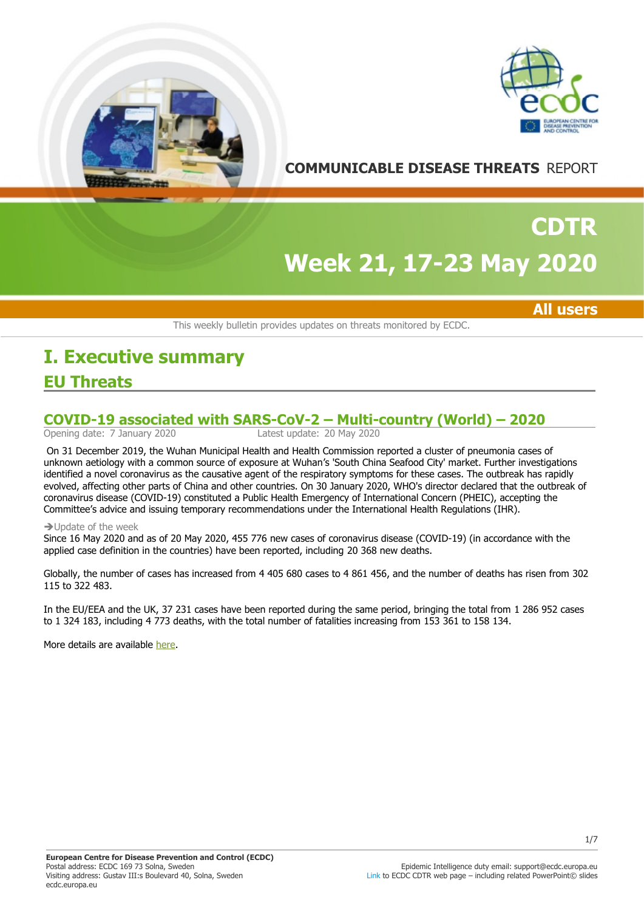



## **COMMUNICABLE DISEASE THREATS** REPORT

# **Week 21, 17-23 May 2020 CDTR**

**All users**

This weekly bulletin provides updates on threats monitored by ECDC.

## **EU Threats I. Executive summary**

# **COVID-19 associated with SARS-CoV-2 – Multi-country (World) – 2020**<br>Opening date: 7 January 2020<br>Latest update: 20 May 2020

Latest update: 20 May 2020

On 31 December 2019, the Wuhan Municipal Health and Health Commission reported a cluster of pneumonia cases of unknown aetiology with a common source of exposure at Wuhan's 'South China Seafood City' market. Further investigations identified a novel coronavirus as the causative agent of the respiratory symptoms for these cases. The outbreak has rapidly evolved, affecting other parts of China and other countries. On 30 January 2020, WHO's director declared that the outbreak of coronavirus disease (COVID-19) constituted a Public Health Emergency of International Concern (PHEIC), accepting the Committee's advice and issuing temporary recommendations under the International Health Regulations (IHR).

#### $\rightarrow$  Update of the week

Since 16 May 2020 and as of 20 May 2020, 455 776 new cases of coronavirus disease (COVID-19) (in accordance with the applied case definition in the countries) have been reported, including 20 368 new deaths.

Globally, the number of cases has increased from 4 405 680 cases to 4 861 456, and the number of deaths has risen from 302 115 to 322 483.

In the EU/EEA and the UK, 37 231 cases have been reported during the same period, bringing the total from 1 286 952 cases to 1 324 183, including 4 773 deaths, with the total number of fatalities increasing from 153 361 to 158 134.

More details are available [here](https://www.ecdc.europa.eu/en/cases-2019-ncov-eueea).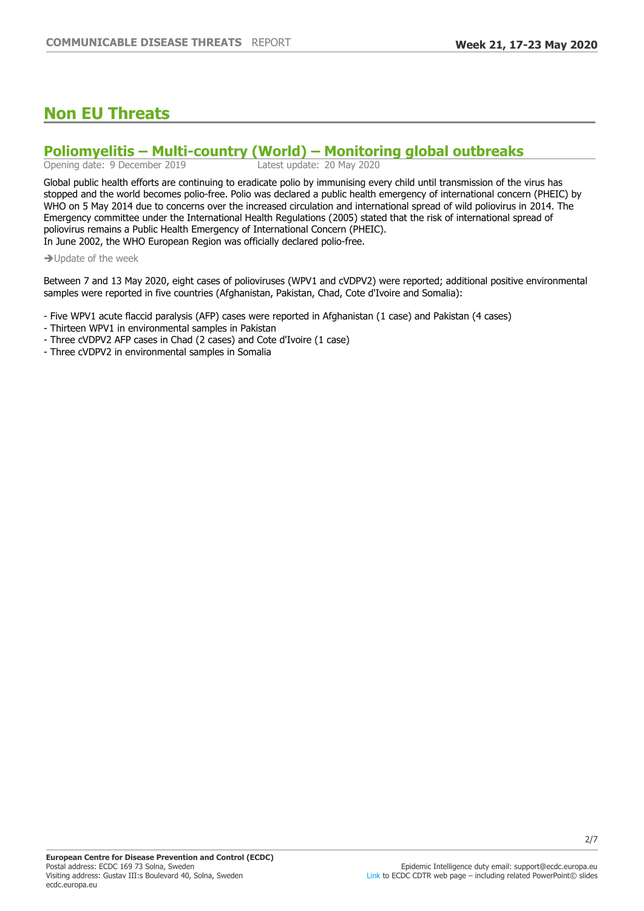## **Non EU Threats**

# **Poliomyelitis — Multi-country (World) — Monitoring global outbreaks**<br>Opening date: 9 December 2019<br>Latest update: 20 May 2020

Opening date: 9 December 2019

Global public health efforts are continuing to eradicate polio by immunising every child until transmission of the virus has stopped and the world becomes polio-free. Polio was declared a public health emergency of international concern (PHEIC) by WHO on 5 May 2014 due to concerns over the increased circulation and international spread of wild poliovirus in 2014. The Emergency committee under the International Health Regulations (2005) stated that the risk of international spread of poliovirus remains a Public Health Emergency of International Concern (PHEIC). In June 2002, the WHO European Region was officially declared polio-free.

 $\rightarrow$  Update of the week

Between 7 and 13 May 2020, eight cases of polioviruses (WPV1 and cVDPV2) were reported; additional positive environmental samples were reported in five countries (Afghanistan, Pakistan, Chad, Cote d'Ivoire and Somalia):

- Five WPV1 acute flaccid paralysis (AFP) cases were reported in Afghanistan (1 case) and Pakistan (4 cases)

- Thirteen WPV1 in environmental samples in Pakistan
- Three cVDPV2 AFP cases in Chad (2 cases) and Cote d'Ivoire (1 case)

- Three cVDPV2 in environmental samples in Somalia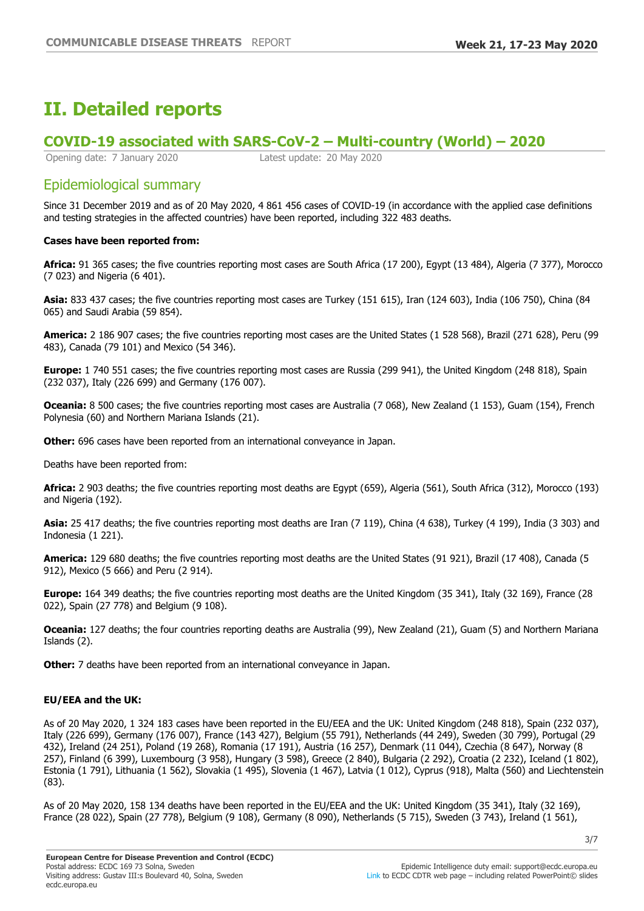## **II. Detailed reports**

### **COVID-19 associated with SARS-CoV-2 ±Multi-country (World) ±**

Opening date: 7 January 2020 Latest update: 20 May 2020

## Epidemiological summary

Since 31 December 2019 and as of 20 May 2020, 4 861 456 cases of COVID-19 (in accordance with the applied case definitions and testing strategies in the affected countries) have been reported, including 322 483 deaths.

#### **Cases have been reported from:**

**Africa:** 91 365 cases; the five countries reporting most cases are South Africa (17 200), Egypt (13 484), Algeria (7 377), Morocco (7 023) and Nigeria (6 401).

**Asia:** 833 437 cases; the five countries reporting most cases are Turkey (151 615), Iran (124 603), India (106 750), China (84 065) and Saudi Arabia (59 854).

**America:** 2 186 907 cases; the five countries reporting most cases are the United States (1 528 568), Brazil (271 628), Peru (99 483), Canada (79 101) and Mexico (54 346).

**Europe:** 1 740 551 cases; the five countries reporting most cases are Russia (299 941), the United Kingdom (248 818), Spain (232 037), Italy (226 699) and Germany (176 007).

**Oceania:** 8 500 cases; the five countries reporting most cases are Australia (7 068), New Zealand (1 153), Guam (154), French Polynesia (60) and Northern Mariana Islands (21).

**Other:** 696 cases have been reported from an international conveyance in Japan.

Deaths have been reported from:

**Africa:** 2 903 deaths; the five countries reporting most deaths are Egypt (659), Algeria (561), South Africa (312), Morocco (193) and Nigeria (192).

**Asia:** 25 417 deaths; the five countries reporting most deaths are Iran (7 119), China (4 638), Turkey (4 199), India (3 303) and Indonesia (1 221).

**America:** 129 680 deaths; the five countries reporting most deaths are the United States (91 921), Brazil (17 408), Canada (5 912), Mexico (5 666) and Peru (2 914).

**Europe:** 164 349 deaths; the five countries reporting most deaths are the United Kingdom (35 341), Italy (32 169), France (28 022), Spain (27 778) and Belgium (9 108).

**Oceania:** 127 deaths; the four countries reporting deaths are Australia (99), New Zealand (21), Guam (5) and Northern Mariana Islands (2).

**Other:** 7 deaths have been reported from an international conveyance in Japan.

#### **EU/EEA and the UK:**

As of 20 May 2020, 1 324 183 cases have been reported in the EU/EEA and the UK: United Kingdom (248 818), Spain (232 037), Italy (226 699), Germany (176 007), France (143 427), Belgium (55 791), Netherlands (44 249), Sweden (30 799), Portugal (29 432), Ireland (24 251), Poland (19 268), Romania (17 191), Austria (16 257), Denmark (11 044), Czechia (8 647), Norway (8 257), Finland (6 399), Luxembourg (3 958), Hungary (3 598), Greece (2 840), Bulgaria (2 292), Croatia (2 232), Iceland (1 802), Estonia (1 791), Lithuania (1 562), Slovakia (1 495), Slovenia (1 467), Latvia (1 012), Cyprus (918), Malta (560) and Liechtenstein (83).

As of 20 May 2020, 158 134 deaths have been reported in the EU/EEA and the UK: United Kingdom (35 341), Italy (32 169), France (28 022), Spain (27 778), Belgium (9 108), Germany (8 090), Netherlands (5 715), Sweden (3 743), Ireland (1 561),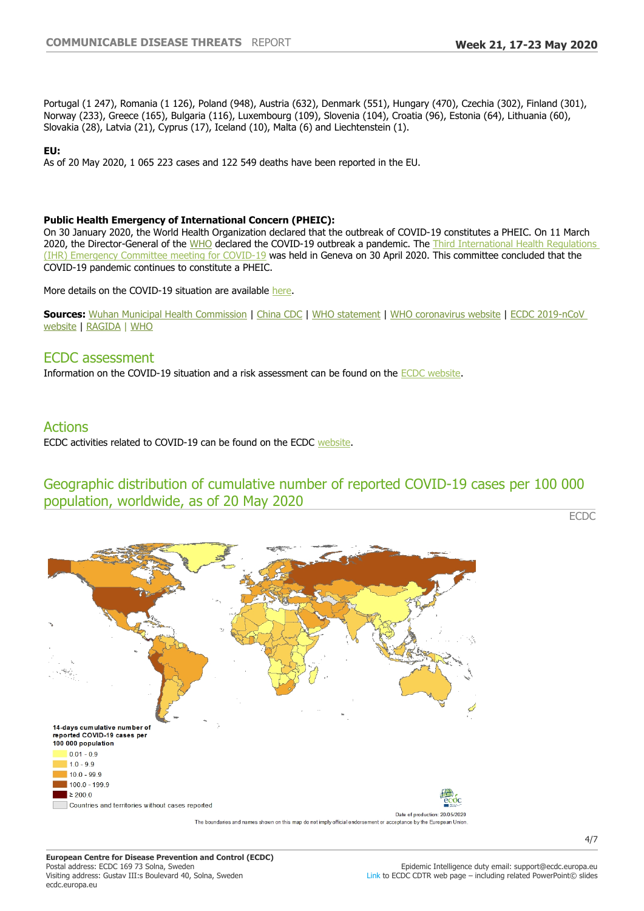Portugal (1 247), Romania (1 126), Poland (948), Austria (632), Denmark (551), Hungary (470), Czechia (302), Finland (301), Norway (233), Greece (165), Bulgaria (116), Luxembourg (109), Slovenia (104), Croatia (96), Estonia (64), Lithuania (60), Slovakia (28), Latvia (21), Cyprus (17), Iceland (10), Malta (6) and Liechtenstein (1).

#### **EU:**

As of 20 May 2020, 1 065 223 cases and 122 549 deaths have been reported in the EU.

#### **Public Health Emergency of International Concern (PHEIC):**

On 30 January 2020, the World Health Organization declared that the outbreak of COVID-19 constitutes a PHEIC. On 11 March 2020, the Director-General of the [WHO](https://www.who.int/dg/speeches/detail/who-director-general-s-opening-remarks-at-the-media-briefing-on-covid-19---11-march-2020) declared the COVID-19 outbreak a pandemic. The Third International Health Regulations [\(IHR\) Emergency Committee meeting for COVID-19](https://www.who.int/news-room/detail/01-05-2020-statement-on-the-third-meeting-of-the-international-health-regulations-(2005)-emergency-committee-regarding-the-outbreak-of-coronavirus-disease-(covid-19)) was held in Geneva on 30 April 2020. This committee concluded that the COVID-19 pandemic continues to constitute a PHEIC.

More details on the COVID-19 situation are available [here](https://www.ecdc.europa.eu/en/cases-2019-ncov-eueea).

**Sources:** [Wuhan Municipal Health Commission](http://wjw.wuhan.gov.cn/front/web/showDetail/2019123108989) | [China CDC](http://www.chinacdc.cn/yw_9324/) | [WHO statement](https://www.who.int/china/news/detail/09-01-2020-who-statement-regarding-cluster-of-pneumonia-cases-in-wuhan-china) | [WHO coronavirus website](https://www.who.int/health-topics/coronavirus) | [ECDC 2019-nCoV](https://www.ecdc.europa.eu/en/novel-coronavirus-china)  [website](https://www.ecdc.europa.eu/en/novel-coronavirus-china) | [RAGIDA](https://www.ecdc.europa.eu/sites/default/files/documents/infectious-diseases-transmitted-on-aircrafts-ragida-risk-assessment-guidelines.pdf) | [WHO](http://who.maps.arcgis.com/apps/opsdashboard/index.html#/c88e37cfc43b4ed3baf977d77e4a0667)

#### ECDC assessment

Information on the COVID-19 situation and a risk assessment can be found on the [ECDC website.](https://www.ecdc.europa.eu/en/current-risk-assessment-novel-coronavirus-situation)

### Actions

ECDC activities related to COVID-19 can be found on the ECDC [website](https://www.ecdc.europa.eu/en/novel-coronavirus-china).

## Geographic distribution of cumulative number of reported COVID-19 cases per 100 000 population, worldwide, as of 20 May 2020

ECDC

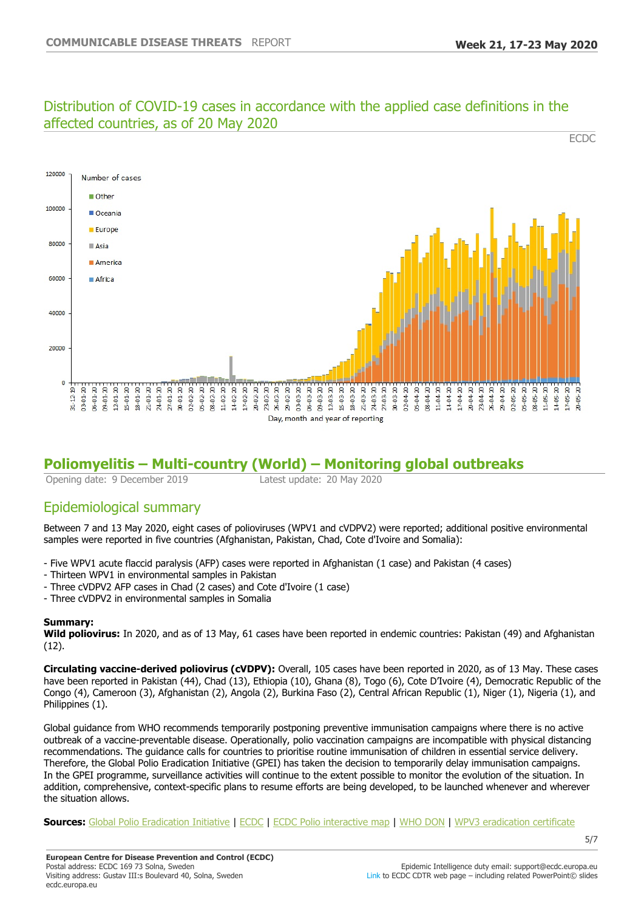#### Distribution of COVID-19 cases in accordance with the applied case definitions in the affected countries, as of 20 May 2020 **ECDC**



## **Poliomyelitis ±Multi-country (World) ±Monitoring global outbreaks**

Opening date: 9 December 2019 Latest update: 20 May 2020

## Epidemiological summary

Between 7 and 13 May 2020, eight cases of polioviruses (WPV1 and cVDPV2) were reported; additional positive environmental samples were reported in five countries (Afghanistan, Pakistan, Chad, Cote d'Ivoire and Somalia):

- Five WPV1 acute flaccid paralysis (AFP) cases were reported in Afghanistan (1 case) and Pakistan (4 cases)
- Thirteen WPV1 in environmental samples in Pakistan
- Three cVDPV2 AFP cases in Chad (2 cases) and Cote d'Ivoire (1 case)
- Three cVDPV2 in environmental samples in Somalia

#### **Summary:**

**Wild poliovirus:** In 2020, and as of 13 May, 61 cases have been reported in endemic countries: Pakistan (49) and Afghanistan (12).

**Circulating vaccine-derived poliovirus (cVDPV):** Overall, 105 cases have been reported in 2020, as of 13 May. These cases have been reported in Pakistan (44), Chad (13), Ethiopia (10), Ghana (8), Togo (6), Cote D'Ivoire (4), Democratic Republic of the Congo (4), Cameroon (3), Afghanistan (2), Angola (2), Burkina Faso (2), Central African Republic (1), Niger (1), Nigeria (1), and Philippines (1).

Global guidance from WHO recommends temporarily postponing preventive immunisation campaigns where there is no active outbreak of a vaccine-preventable disease. Operationally, polio vaccination campaigns are incompatible with physical distancing recommendations. The guidance calls for countries to prioritise routine immunisation of children in essential service delivery. Therefore, the Global Polio Eradication Initiative (GPEI) has taken the decision to temporarily delay immunisation campaigns. In the GPEI programme, surveillance activities will continue to the extent possible to monitor the evolution of the situation. In addition, comprehensive, context-specific plans to resume efforts are being developed, to be launched whenever and wherever the situation allows.

**Sources:** [Global Polio Eradication Initiative](http://www.polioeradication.org/polio-today/polio-now/this-week) | [ECDC](http://ecdc.europa.eu/poliomyelitis) | [ECDC Polio interactive map](http://ecdc.europa.eu/publications-data/polio-interactive-map) | [WHO DON](https://www.who.int/csr/don/24-september-2019-polio-outbreak-the-philippines/en/) | [WPV3 eradication certificate](http://polioeradication.org/news-post/two-out-of-three-wild-poliovirus-strains-eradicated/)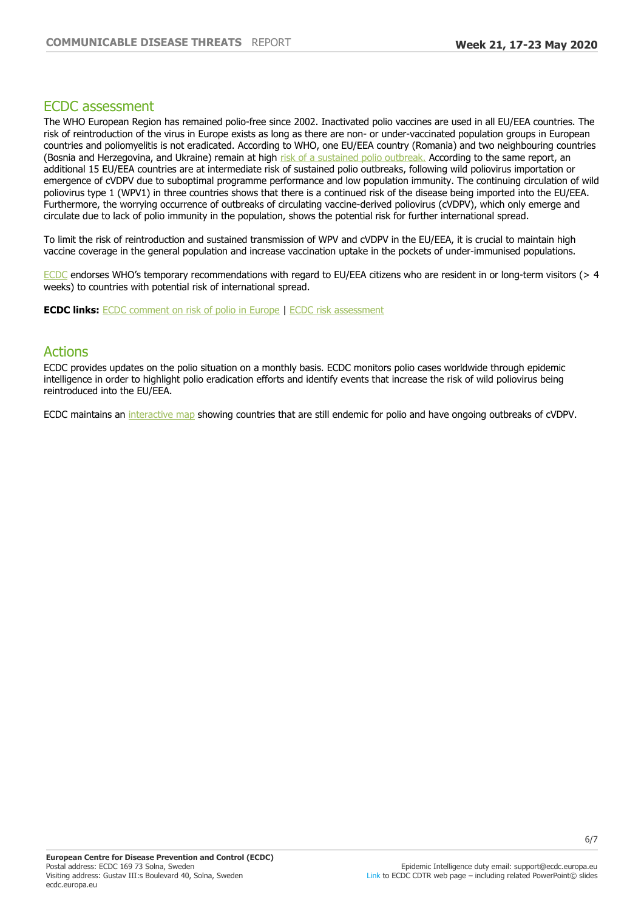#### ECDC assessment

The WHO European Region has remained polio-free since 2002. Inactivated polio vaccines are used in all EU/EEA countries. The risk of reintroduction of the virus in Europe exists as long as there are non- or under-vaccinated population groups in European countries and poliomyelitis is not eradicated. According to WHO, one EU/EEA country (Romania) and two neighbouring countries (Bosnia and Herzegovina, and Ukraine) remain at high [risk of a sustained polio outbreak.](http://www.euro.who.int/en/health-topics/communicable-diseases/poliomyelitis/publications/2019/33rd-meeting-of-the-european-regional-commission-for-certification-of-poliomyelitis-eradication-rcc-report-2019) According to the same report, an additional 15 EU/EEA countries are at intermediate risk of sustained polio outbreaks, following wild poliovirus importation or emergence of cVDPV due to suboptimal programme performance and low population immunity. The continuing circulation of wild poliovirus type 1 (WPV1) in three countries shows that there is a continued risk of the disease being imported into the EU/EEA. Furthermore, the worrying occurrence of outbreaks of circulating vaccine-derived poliovirus (cVDPV), which only emerge and circulate due to lack of polio immunity in the population, shows the potential risk for further international spread.

To limit the risk of reintroduction and sustained transmission of WPV and cVDPV in the EU/EEA, it is crucial to maintain high vaccine coverage in the general population and increase vaccination uptake in the pockets of under-immunised populations.

[ECDC](https://www.ecdc.europa.eu/sites/portal/files/media/en/publications/Publications/Polio-risk-assessment-may-2014.pdf) endorses WHO's temporary recommendations with regard to EU/EEA citizens who are resident in or long-term visitors ( $> 4$ weeks) to countries with potential risk of international spread.

**ECDC links:** [ECDC comment on risk of polio in Europe](http://ecdc.europa.eu/news-events/conclusions-twentieth-ihr-emergency-committee-do-not-change-ecdc-risk-assessment-europe) | [ECDC risk assessment](http://ecdc.europa.eu/publications-data/rapid-risk-assessment-international-spread-wild-type-poliovirus-2014-declared)

### Actions

ECDC provides updates on the polio situation on a monthly basis. ECDC monitors polio cases worldwide through epidemic intelligence in order to highlight polio eradication efforts and identify events that increase the risk of wild poliovirus being reintroduced into the EU/EEA.

ECDC maintains an [interactive map](https://www.ecdc.europa.eu/en/publications-data/polio-interactive-map) showing countries that are still endemic for polio and have ongoing outbreaks of cVDPV.